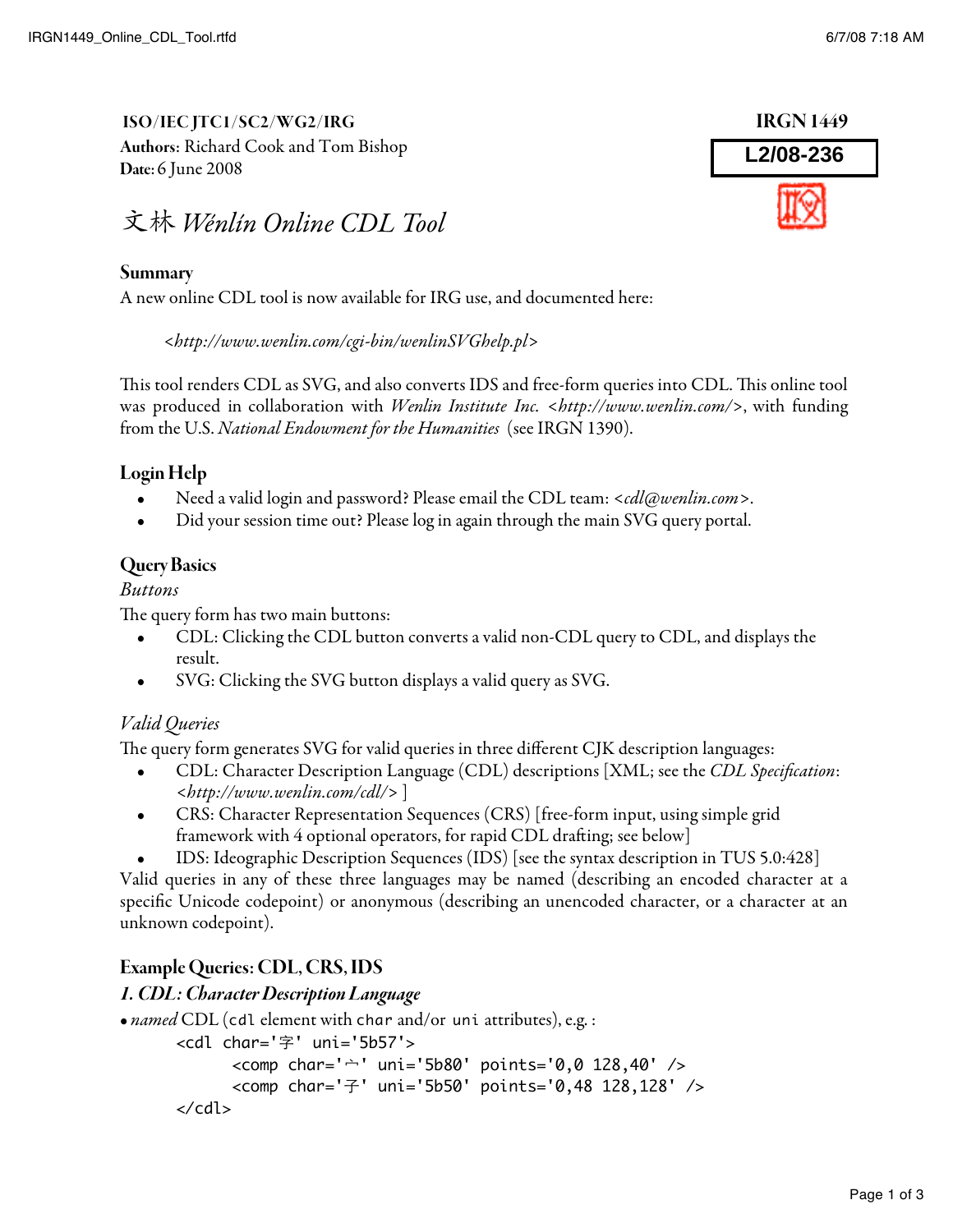ISO/IEC JTC1/SC2/WG2/IRG IRGN 1449 Authors: Richard Cook and Tom Bishop Date: 6 June 2008



#### Summary

A new online CDL tool is now available for IRG use, and documented here:

<http://www.wenlin.com/cgi-bin/wenlinSVGhelp.pl>

This tool renders CDL as SVG, and also converts IDS and free-form queries into CDL. This online tool was produced in collaboration with *Wenlin Institute Inc. <http://www.wenlin.com/>*, with funding from the U.S. National Endowment for the Humanities (see IRGN 1390).

## Login Help

- Need a valid login and password? Please email the CDL team: <cdl@wenlin.com>.
- Did your session time out? Please log in again through the main SVG query portal.

### Query Basics

#### Buttons

The query form has two main buttons:

- CDL: Clicking the CDL button converts a valid non-CDL query to CDL, and displays the result.
- SVG: Clicking the SVG button displays a valid query as SVG.

## Valid Queries

The query form generates SVG for valid queries in three different CJK description languages:

- CDL: Character Description Language (CDL) descriptions [XML; see the CDL Specification: <http://www.wenlin.com/cdl/> ]
- CRS: Character Representation Sequences (CRS) [free-form input, using simple grid framework with 4 optional operators, for rapid CDL drafting; see below]
- IDS: Ideographic Description Sequences (IDS) [see the syntax description in TUS 5.0:428]

Valid queries in any of these three languages may be named (describing an encoded character at a specific Unicode codepoint) or anonymous (describing an unencoded character, or a character at an unknown codepoint).

## Example Queries: CDL, CRS, IDS

#### 1. CDL: Character Description Language

• *named* CDL (cdl element with char and/or uni attributes), e.g. :

```
<cdl char='字' uni='5b57'>
      <comp char='宀' uni='5b80' points='0,0 128,40' />
      <comp char='子' uni='5b50' points='0,48 128,128' />
</cdl>
```
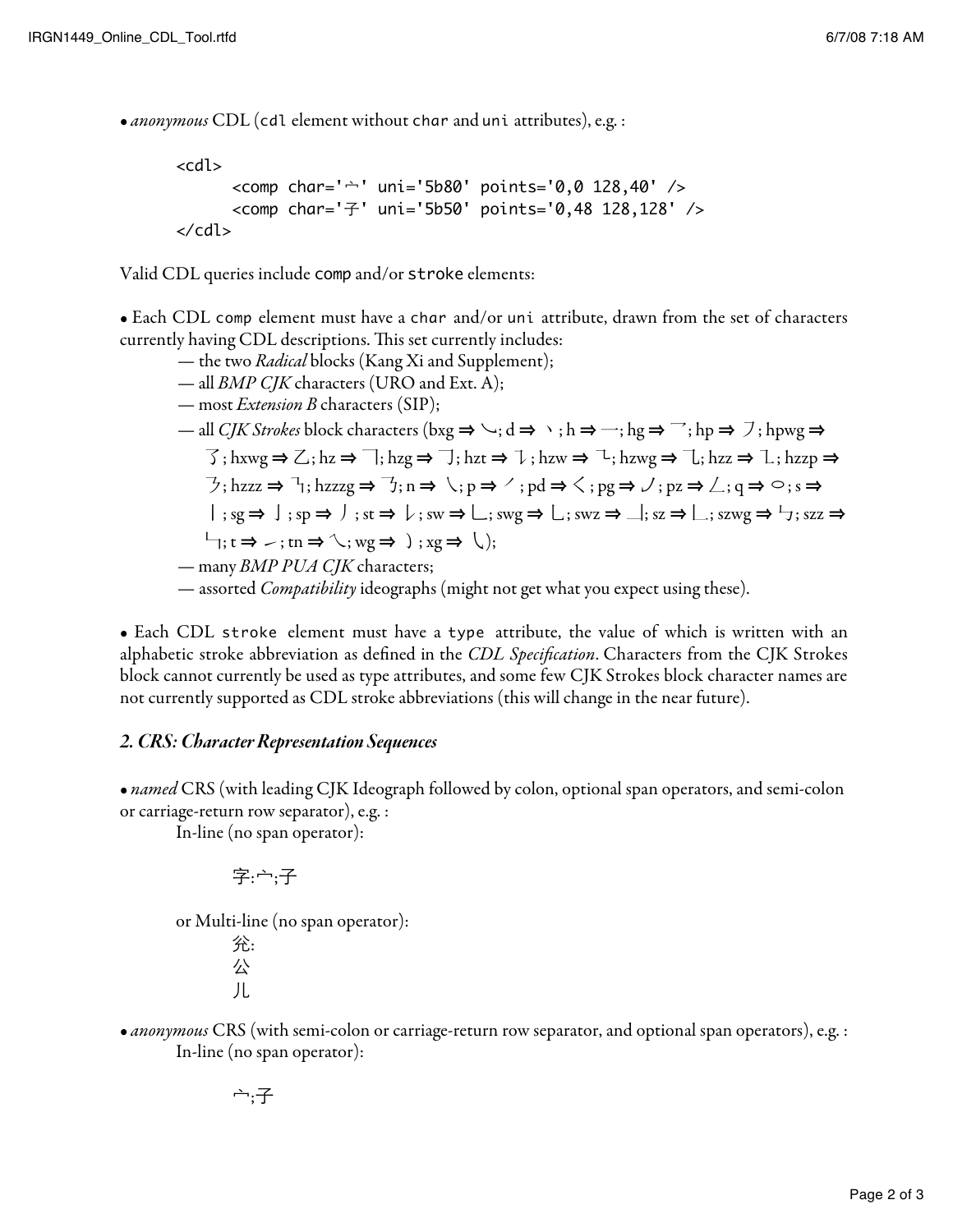• anonymous CDL (cdl element without char and uni attributes), e.g. :

```
<cdl>
      <comp char='宀' uni='5b80' points='0,0 128,40' />
      <comp char='子' uni='5b50' points='0,48 128,128' />
</cdl>
```
Valid CDL queries include comp and/or stroke elements:

• Each CDL comp element must have a char and/or uni attribute, drawn from the set of characters currently having CDL descriptions. This set currently includes:

- the two *Radical* blocks (Kang Xi and Supplement);
- all *BMP CJK* characters (URO and Ext. A);
- most *Extension B* characters (SIP);

\n- − all *CJK Strokes* block characters (bxg ⇒ √; d ⇒ ∖; h ⇒ −; hg ⇒ 
$$
\neg
$$
; hp ⇒  $\neg$ ; hpyg ⇒  $\neg$ ; hxwg ⇒  $\neg$ ; hz, hz v ⇒  $\neg$ ; hz t ⇒  $\neg$ ; hz t ⇒  $\neg$ ; hz w ⇒  $\neg$ ; hz v ⇒  $\neg$ ; hz z ⇒  $\neg$ ; hz z z ⇒  $\neg$ ; hz z z ⇒  $\neg$ ; hz z z g ⇒  $\neg$ ; n ⇒  $\neg$ ; p ⇒  $\neg$ ; p d ⇒  $\neg$ ; p z ⇒  $\neg$ ; q ⇒  $\neg$ ; s ⇒  $\neg$ ; s s ⇒  $\neg$ ; s s ⇒  $\neg$ ; s s ⇒  $\neg$ ; s s ⇒  $\neg$ ; s s ⇒  $\neg$ ; s s ⇒  $\neg$ ; s s ⇒  $\neg$ ; s s ⇒  $\neg$ ; s s ⇒  $\neg$ ; s s ⇒  $\neg$ ; s s ⇒  $\neg$ ; s s ⇒  $\neg$ ; s s ⇒  $\neg$ ; s s ⇒  $\neg$ ; s s ⇒  $\neg$ ; s s ⇒  $\neg$ ; s s ⇒  $\neg$ ; s s ⇒  $\neg$ ; s s ⇒  $\neg$ ; s s ⇒  $\neg$ ; s s ⇒  $\neg$ ; s s ⇒  $\neg$ ; s s ⇒  $\neg$ ; s s ⇒  $\neg$ ; s s ⇒  $\neg$ ; s s ⇒  $\neg$ ; s s ⇒  $\neg$ ; s s ⇒  $\neg$ ; s s ⇒  $\neg$ ; s s ⇒  $\neg$ ; s s ⇒  $\neg$ ; s s ⇒  $\neg$ ; s s ⇒  $\neg$ ; s s ⇒  $\neg$ ; s s ⇒  $\neg$ ; s s ⇒ <math display="inline</li>

— assorted *Compatibility* ideographs (might not get what you expect using these).

• Each CDL stroke element must have a type attribute, the value of which is written with an alphabetic stroke abbreviation as defined in the CDL Specification. Characters from the CJK Strokes block cannot currently be used as type attributes, and some few CJK Strokes block character names are not currently supported as CDL stroke abbreviations (this will change in the near future).

#### 2. CRS: Character Representation Sequences

• named CRS (with leading CJK Ideograph followed by colon, optional span operators, and semi-colon or carriage-return row separator), e.g. :

In-line (no span operator):

$$
\bar{\Xi}:\dot{\sqcap};\bar{\Xi}
$$

or Multi-line (no span operator):

兊: 公 儿

• anonymous CRS (with semi-colon or carriage-return row separator, and optional span operators), e.g. : In-line (no span operator):

$$
\tilde{\neg};\not\exists
$$